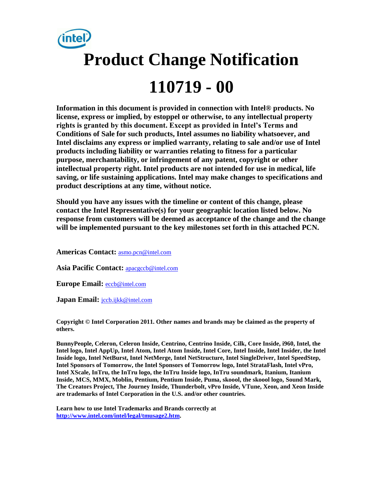

**Information in this document is provided in connection with Intel® products. No license, express or implied, by estoppel or otherwise, to any intellectual property rights is granted by this document. Except as provided in Intel's Terms and Conditions of Sale for such products, Intel assumes no liability whatsoever, and Intel disclaims any express or implied warranty, relating to sale and/or use of Intel products including liability or warranties relating to fitness for a particular purpose, merchantability, or infringement of any patent, copyright or other intellectual property right. Intel products are not intended for use in medical, life saving, or life sustaining applications. Intel may make changes to specifications and product descriptions at any time, without notice.** 

**Should you have any issues with the timeline or content of this change, please contact the Intel Representative(s) for your geographic location listed below. No response from customers will be deemed as acceptance of the change and the change will be implemented pursuant to the key milestones set forth in this attached PCN.** 

**Americas Contact:** [asmo.pcn@intel.com](mailto:asmo.pcn@intel.com) 

**Asia Pacific Contact:** [apacgccb@intel.com](mailto:apacgccb@intel.com) 

**Europe Email:** [eccb@intel.com](mailto:eccb@intel.com) 

Japan Email: **jccb.ijkk@intel.com** 

**Copyright © Intel Corporation 2011. Other names and brands may be claimed as the property of others.**

**BunnyPeople, Celeron, Celeron Inside, Centrino, Centrino Inside, Cilk, Core Inside, i960, Intel, the Intel logo, Intel AppUp, Intel Atom, Intel Atom Inside, Intel Core, Intel Inside, Intel Insider, the Intel Inside logo, Intel NetBurst, Intel NetMerge, Intel NetStructure, Intel SingleDriver, Intel SpeedStep, Intel Sponsors of Tomorrow, the Intel Sponsors of Tomorrow logo, Intel StrataFlash, Intel vPro, Intel XScale, InTru, the InTru logo, the InTru Inside logo, InTru soundmark, Itanium, Itanium Inside, MCS, MMX, Moblin, Pentium, Pentium Inside, Puma, skoool, the skoool logo, Sound Mark, The Creators Project, The Journey Inside, Thunderbolt, vPro Inside, VTune, Xeon, and Xeon Inside are trademarks of Intel Corporation in the U.S. and/or other countries.**

**Learn how to use Intel Trademarks and Brands correctly at [http://www.intel.com/intel/legal/tmusage2.htm.](http://www.intel.com/intel/legal/tmusage2.htm)**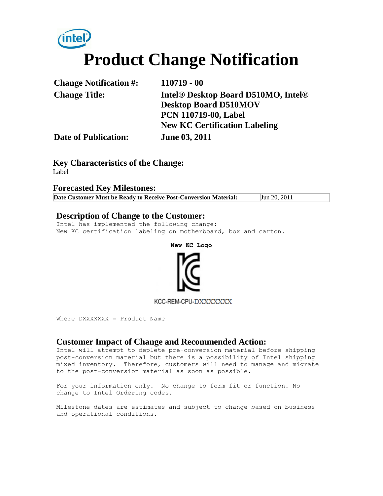# **Product Change Notification**

| <b>Change Notification #:</b> | $110719 - 00$                                               |
|-------------------------------|-------------------------------------------------------------|
| <b>Change Title:</b>          | Intel <sup>®</sup> Desktop Board D510MO, Intel <sup>®</sup> |
|                               | <b>Desktop Board D510MOV</b>                                |
|                               | <b>PCN 110719-00, Label</b>                                 |
|                               | <b>New KC Certification Labeling</b>                        |
| <b>Date of Publication:</b>   | <b>June 03, 2011</b>                                        |

**Key Characteristics of the Change:** Label

#### **Forecasted Key Milestones:**

**Date Customer Must be Ready to Receive Post-Conversion Material:** Jun 20, 2011

#### **Description of Change to the Customer:**

Intel has implemented the following change: New KC certification labeling on motherboard, box and carton.

**New KC Logo**



KCC-REM-CPU-DXXXXXXX

Where DXXXXXXX = Product Name

#### **Customer Impact of Change and Recommended Action:**

Intel will attempt to deplete pre-conversion material before shipping post-conversion material but there is a possibility of Intel shipping mixed inventory. Therefore, customers will need to manage and migrate to the post-conversion material as soon as possible.

For your information only. No change to form fit or function. No change to Intel Ordering codes.

Milestone dates are estimates and subject to change based on business and operational conditions.